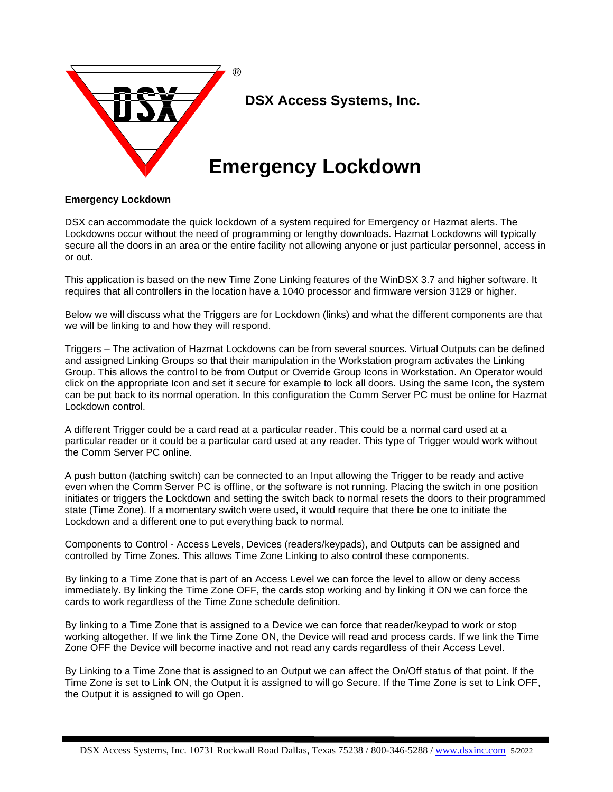

## **Emergency Lockdown**

DSX can accommodate the quick lockdown of a system required for Emergency or Hazmat alerts. The Lockdowns occur without the need of programming or lengthy downloads. Hazmat Lockdowns will typically secure all the doors in an area or the entire facility not allowing anyone or just particular personnel, access in or out.

This application is based on the new Time Zone Linking features of the WinDSX 3.7 and higher software. It requires that all controllers in the location have a 1040 processor and firmware version 3129 or higher.

Below we will discuss what the Triggers are for Lockdown (links) and what the different components are that we will be linking to and how they will respond.

Triggers – The activation of Hazmat Lockdowns can be from several sources. Virtual Outputs can be defined and assigned Linking Groups so that their manipulation in the Workstation program activates the Linking Group. This allows the control to be from Output or Override Group Icons in Workstation. An Operator would click on the appropriate Icon and set it secure for example to lock all doors. Using the same Icon, the system can be put back to its normal operation. In this configuration the Comm Server PC must be online for Hazmat Lockdown control.

A different Trigger could be a card read at a particular reader. This could be a normal card used at a particular reader or it could be a particular card used at any reader. This type of Trigger would work without the Comm Server PC online.

A push button (latching switch) can be connected to an Input allowing the Trigger to be ready and active even when the Comm Server PC is offline, or the software is not running. Placing the switch in one position initiates or triggers the Lockdown and setting the switch back to normal resets the doors to their programmed state (Time Zone). If a momentary switch were used, it would require that there be one to initiate the Lockdown and a different one to put everything back to normal.

Components to Control - Access Levels, Devices (readers/keypads), and Outputs can be assigned and controlled by Time Zones. This allows Time Zone Linking to also control these components.

By linking to a Time Zone that is part of an Access Level we can force the level to allow or deny access immediately. By linking the Time Zone OFF, the cards stop working and by linking it ON we can force the cards to work regardless of the Time Zone schedule definition.

By linking to a Time Zone that is assigned to a Device we can force that reader/keypad to work or stop working altogether. If we link the Time Zone ON, the Device will read and process cards. If we link the Time Zone OFF the Device will become inactive and not read any cards regardless of their Access Level.

By Linking to a Time Zone that is assigned to an Output we can affect the On/Off status of that point. If the Time Zone is set to Link ON, the Output it is assigned to will go Secure. If the Time Zone is set to Link OFF, the Output it is assigned to will go Open.